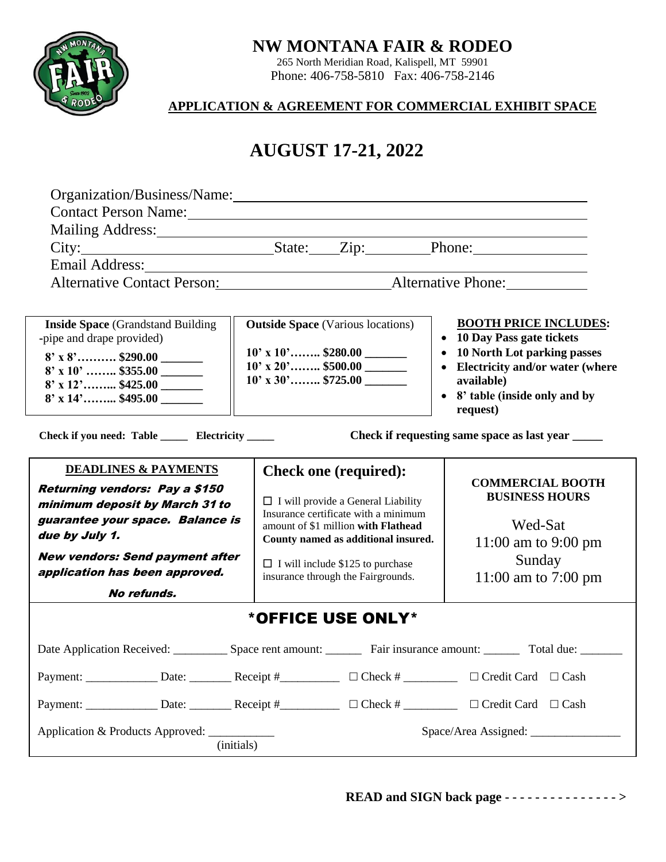# **NW MONTANA FAIR & RODEO**

265 North Meridian Road, Kalispell, MT 59901 Phone: 406-758-5810 Fax: 406-758-2146

## **APPLICATION & AGREEMENT FOR COMMERCIAL EXHIBIT SPACE**

## **AUGUST 17-21, 2021 AUGUST 17-21, 2022**

| <b>Email Address:</b>                                                                                                                                                                                                                                       | Organization/Business/Name: 2008. 2009. 2010. 2010. 2010. 2010. 2010. 2010. 2010. 2010. 2010. 2010. 2010. 2010<br>Contact Person Name: 1988 and 1988 and 1988 and 1988 and 1988 and 1988 and 1988 and 1988 and 1988 and 1988 and 1988 and 1988 and 1988 and 1988 and 1988 and 1988 and 1988 and 1988 and 1988 and 1988 and 1988 and 1988 and 198<br>Mailing Address: State: Zip: Phone:<br><u> 1980 - Andrea Station Barbara, amerikan personal (</u><br>Alternative Contact Person: Alternative Phone: Maternative Phone: |                                                                                                                                                                                                                                                    |
|-------------------------------------------------------------------------------------------------------------------------------------------------------------------------------------------------------------------------------------------------------------|----------------------------------------------------------------------------------------------------------------------------------------------------------------------------------------------------------------------------------------------------------------------------------------------------------------------------------------------------------------------------------------------------------------------------------------------------------------------------------------------------------------------------|----------------------------------------------------------------------------------------------------------------------------------------------------------------------------------------------------------------------------------------------------|
| <b>Inside Space</b> (Grandstand Building<br>-pipe and drape provided)<br>$8'$ x $8'$ \$290.00 _______<br>$8'$ x 10'  \$355.00 _______<br>$8'$ x 14' \$495.00<br>Check if you need: Table ______ Electricity _____                                           | <b>Outside Space</b> (Various locations)<br>$10'$ x $10'$ \$280.00<br>$10'$ x 20' \$500.00                                                                                                                                                                                                                                                                                                                                                                                                                                 | <b>BOOTH PRICE INCLUDES:</b><br>• 10 Day Pass gate tickets<br>• 10 North Lot parking passes<br>• Electricity and/or water (where<br>available)<br>• 8' table (inside only and by<br>request)<br>Check if requesting same space as last year ______ |
| <b>DEADLINES &amp; PAYMENTS</b><br><b>Returning vendors: Pay a \$150</b><br>minimum deposit by March 31 to<br>guarantee your space. Balance is<br>due by July 1.<br><b>New vendors: Send payment after</b><br>application has been approved.<br>No refunds, | <b>Check one (required):</b><br>$\Box$ I will provide a General Liability<br>Insurance certificate with a minimum<br>amount of \$1 million with Flathead<br>County named as additional insured.<br>$\Box$ I will include \$125 to purchase<br>insurance through the Fairgrounds.                                                                                                                                                                                                                                           | <b>COMMERCIAL BOOTH</b><br><b>BUSINESS HOURS</b><br>Wed-Sat<br>11:00 am to 9:00 pm<br>Sunday<br>11:00 am to 7:00 pm                                                                                                                                |
| *OFFICE USE ONLY*                                                                                                                                                                                                                                           |                                                                                                                                                                                                                                                                                                                                                                                                                                                                                                                            |                                                                                                                                                                                                                                                    |
| Date Application Received: Space rent amount: Fair insurance amount: Total due:<br>$\Box$ Credit Card $\Box$ Cash<br>Application & Products Approved:<br>(initials)                                                                                         |                                                                                                                                                                                                                                                                                                                                                                                                                                                                                                                            |                                                                                                                                                                                                                                                    |